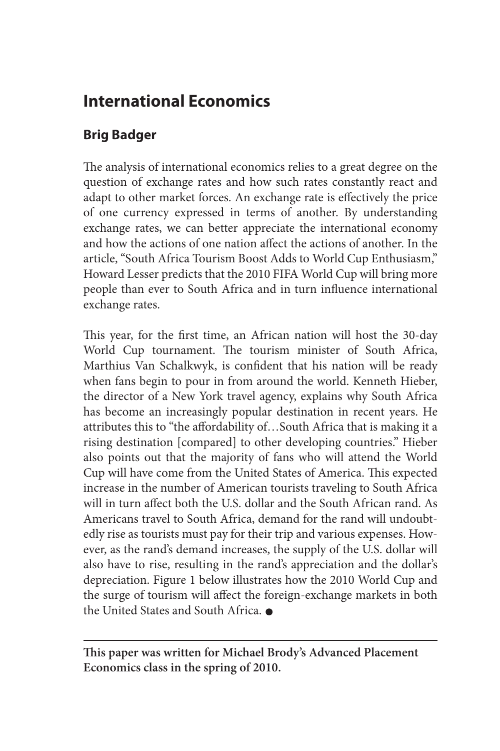## **International Economics**

## **Brig Badger**

The analysis of international economics relies to a great degree on the question of exchange rates and how such rates constantly react and adapt to other market forces. An exchange rate is effectively the price of one currency expressed in terms of another. By understanding exchange rates, we can better appreciate the international economy and how the actions of one nation affect the actions of another. In the article, "South Africa Tourism Boost Adds to World Cup Enthusiasm," Howard Lesser predicts that the 2010 FIFA World Cup will bring more people than ever to South Africa and in turn influence international exchange rates.

This year, for the first time, an African nation will host the 30-day World Cup tournament. The tourism minister of South Africa, Marthius Van Schalkwyk, is confident that his nation will be ready when fans begin to pour in from around the world. Kenneth Hieber, the director of a New York travel agency, explains why South Africa has become an increasingly popular destination in recent years. He attributes this to "the affordability of…South Africa that is making it a rising destination [compared] to other developing countries." Hieber also points out that the majority of fans who will attend the World Cup will have come from the United States of America. This expected increase in the number of American tourists traveling to South Africa will in turn affect both the U.S. dollar and the South African rand. As Americans travel to South Africa, demand for the rand will undoubtedly rise as tourists must pay for their trip and various expenses. However, as the rand's demand increases, the supply of the U.S. dollar will also have to rise, resulting in the rand's appreciation and the dollar's depreciation. Figure 1 below illustrates how the 2010 World Cup and the surge of tourism will affect the foreign-exchange markets in both the United States and South Africa.

**This paper was written for Michael Brody's Advanced Placement Economics class in the spring of 2010.**